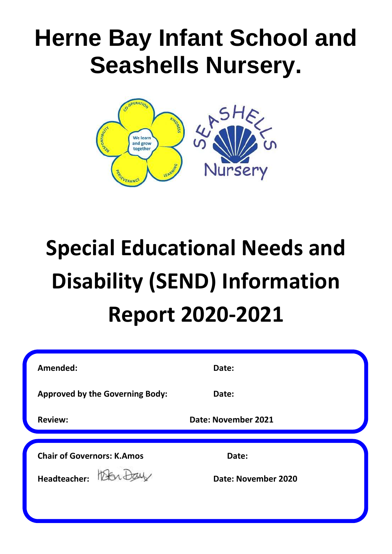## **Herne Bay Infant School and Seashells Nursery.**



# **Special Educational Needs and Disability (SEND) Information Report 2020-2021**

| Date:               |  |
|---------------------|--|
| Date:               |  |
| Date: November 2021 |  |
| Date:               |  |
| Date: November 2020 |  |
|                     |  |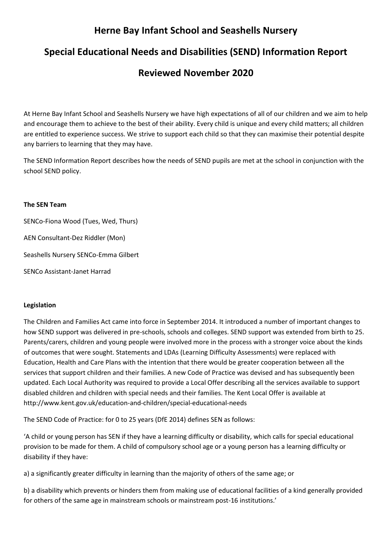## **Herne Bay Infant School and Seashells Nursery**

## **Special Educational Needs and Disabilities (SEND) Information Report**

### **Reviewed November 2020**

At Herne Bay Infant School and Seashells Nursery we have high expectations of all of our children and we aim to help and encourage them to achieve to the best of their ability. Every child is unique and every child matters; all children are entitled to experience success. We strive to support each child so that they can maximise their potential despite any barriers to learning that they may have.

The SEND Information Report describes how the needs of SEND pupils are met at the school in conjunction with the school SEND policy.

#### **The SEN Team**

SENCo-Fiona Wood (Tues, Wed, Thurs) AEN Consultant-Dez Riddler (Mon) Seashells Nursery SENCo-Emma Gilbert SENCo Assistant-Janet Harrad

#### **Legislation**

The Children and Families Act came into force in September 2014. It introduced a number of important changes to how SEND support was delivered in pre-schools, schools and colleges. SEND support was extended from birth to 25. Parents/carers, children and young people were involved more in the process with a stronger voice about the kinds of outcomes that were sought. Statements and LDAs (Learning Difficulty Assessments) were replaced with Education, Health and Care Plans with the intention that there would be greater cooperation between all the services that support children and their families. A new Code of Practice was devised and has subsequently been updated. Each Local Authority was required to provide a Local Offer describing all the services available to support disabled children and children with special needs and their families. The Kent Local Offer is available at http://www.kent.gov.uk/education-and-children/special-educational-needs

The SEND Code of Practice: for 0 to 25 years (DfE 2014) defines SEN as follows:

'A child or young person has SEN if they have a learning difficulty or disability, which calls for special educational provision to be made for them. A child of compulsory school age or a young person has a learning difficulty or disability if they have:

a) a significantly greater difficulty in learning than the majority of others of the same age; or

b) a disability which prevents or hinders them from making use of educational facilities of a kind generally provided for others of the same age in mainstream schools or mainstream post-16 institutions.'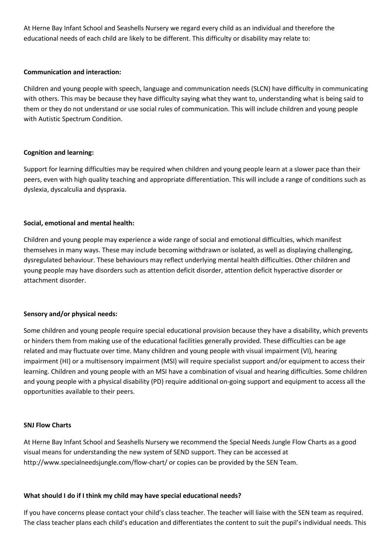At Herne Bay Infant School and Seashells Nursery we regard every child as an individual and therefore the educational needs of each child are likely to be different. This difficulty or disability may relate to:

#### **Communication and interaction:**

Children and young people with speech, language and communication needs (SLCN) have difficulty in communicating with others. This may be because they have difficulty saying what they want to, understanding what is being said to them or they do not understand or use social rules of communication. This will include children and young people with Autistic Spectrum Condition.

#### **Cognition and learning:**

Support for learning difficulties may be required when children and young people learn at a slower pace than their peers, even with high quality teaching and appropriate differentiation. This will include a range of conditions such as dyslexia, dyscalculia and dyspraxia.

#### **Social, emotional and mental health:**

Children and young people may experience a wide range of social and emotional difficulties, which manifest themselves in many ways. These may include becoming withdrawn or isolated, as well as displaying challenging, dysregulated behaviour. These behaviours may reflect underlying mental health difficulties. Other children and young people may have disorders such as attention deficit disorder, attention deficit hyperactive disorder or attachment disorder.

#### **Sensory and/or physical needs:**

Some children and young people require special educational provision because they have a disability, which prevents or hinders them from making use of the educational facilities generally provided. These difficulties can be age related and may fluctuate over time. Many children and young people with visual impairment (VI), hearing impairment (HI) or a multisensory impairment (MSI) will require specialist support and/or equipment to access their learning. Children and young people with an MSI have a combination of visual and hearing difficulties. Some children and young people with a physical disability (PD) require additional on-going support and equipment to access all the opportunities available to their peers.

#### **SNJ Flow Charts**

At Herne Bay Infant School and Seashells Nursery we recommend the Special Needs Jungle Flow Charts as a good visual means for understanding the new system of SEND support. They can be accessed at http://www.specialneedsjungle.com/flow-chart/ or copies can be provided by the SEN Team.

#### **What should I do if I think my child may have special educational needs?**

If you have concerns please contact your child's class teacher. The teacher will liaise with the SEN team as required. The class teacher plans each child's education and differentiates the content to suit the pupil's individual needs. This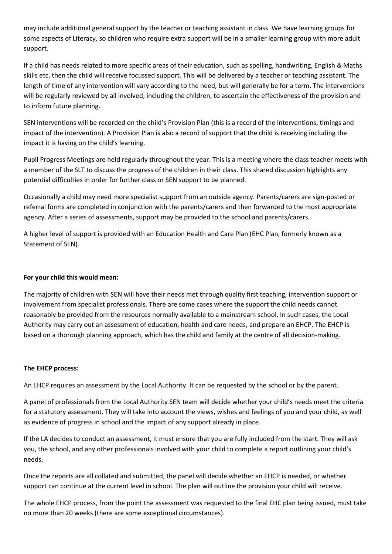may include additional general support by the teacher or teaching assistant in class. We have learning groups for some aspects of Literacy, so children who require extra support will be in a smaller learning group with more adult support.

If a child has needs related to more specific areas of their education, such as spelling, handwriting, English & Maths skills etc. then the child will receive focussed support. This will be delivered by a teacher or teaching assistant. The length of time of any intervention will vary according to the need, but will generally be for a term. The interventions will be regularly reviewed by all involved, including the children, to ascertain the effectiveness of the provision and to inform future planning.

SEN interventions will be recorded on the child's Provision Plan (this is a record of the interventions, timings and impact of the intervention). A Provision Plan is also a record of support that the child is receiving including the impact it is having on the child's learning.

Pupil Progress Meetings are held regularly throughout the year. This is a meeting where the class teacher meets with a member of the SLT to discuss the progress of the children in their class. This shared discussion highlights any potential difficulties in order for further class or SEN support to be planned.

Occasionally a child may need more specialist support from an outside agency. Parents/carers are sign-posted or referral forms are completed in conjunction with the parents/carers and then forwarded to the most appropriate agency. After a series of assessments, support may be provided to the school and parents/carers.

A higher level of support is provided with an Education Health and Care Plan (EHC Plan, formerly known as a Statement of SEN).

#### **For your child this would mean:**

The majority of children with SEN will have their needs met through quality first teaching, intervention support or involvement from specialist professionals. There are some cases where the support the child needs cannot reasonably be provided from the resources normally available to a mainstream school. In such cases, the Local Authority may carry out an assessment of education, health and care needs, and prepare an EHCP. The EHCP is based on a thorough planning approach, which has the child and family at the centre of all decision-making.

#### **The EHCP process:**

An EHCP requires an assessment by the Local Authority. It can be requested by the school or by the parent.

A panel of professionals from the Local Authority SEN team will decide whether your child's needs meet the criteria for a statutory assessment. They will take into account the views, wishes and feelings of you and your child, as well as evidence of progress in school and the impact of any support already in place.

If the LA decides to conduct an assessment, it must ensure that you are fully included from the start. They will ask you, the school, and any other professionals involved with your child to complete a report outlining your child's needs.

Once the reports are all collated and submitted, the panel will decide whether an EHCP is needed, or whether support can continue at the current level in school. The plan will outline the provision your child will receive.

The whole EHCP process, from the point the assessment was requested to the final EHC plan being issued, must take no more than 20 weeks (there are some exceptional circumstances).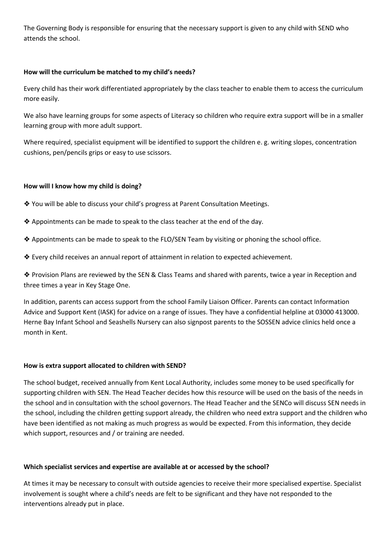The Governing Body is responsible for ensuring that the necessary support is given to any child with SEND who attends the school.

#### **How will the curriculum be matched to my child's needs?**

Every child has their work differentiated appropriately by the class teacher to enable them to access the curriculum more easily.

We also have learning groups for some aspects of Literacy so children who require extra support will be in a smaller learning group with more adult support.

Where required, specialist equipment will be identified to support the children e. g. writing slopes, concentration cushions, pen/pencils grips or easy to use scissors.

#### **How will I know how my child is doing?**

- ❖ You will be able to discuss your child's progress at Parent Consultation Meetings.
- ❖ Appointments can be made to speak to the class teacher at the end of the day.
- ❖ Appointments can be made to speak to the FLO/SEN Team by visiting or phoning the school office.
- ❖ Every child receives an annual report of attainment in relation to expected achievement.

❖ Provision Plans are reviewed by the SEN & Class Teams and shared with parents, twice a year in Reception and three times a year in Key Stage One.

In addition, parents can access support from the school Family Liaison Officer. Parents can contact Information Advice and Support Kent (IASK) for advice on a range of issues. They have a confidential helpline at 03000 413000. Herne Bay Infant School and Seashells Nursery can also signpost parents to the SOSSEN advice clinics held once a month in Kent.

#### **How is extra support allocated to children with SEND?**

The school budget, received annually from Kent Local Authority, includes some money to be used specifically for supporting children with SEN. The Head Teacher decides how this resource will be used on the basis of the needs in the school and in consultation with the school governors. The Head Teacher and the SENCo will discuss SEN needs in the school, including the children getting support already, the children who need extra support and the children who have been identified as not making as much progress as would be expected. From this information, they decide which support, resources and / or training are needed.

#### **Which specialist services and expertise are available at or accessed by the school?**

At times it may be necessary to consult with outside agencies to receive their more specialised expertise. Specialist involvement is sought where a child's needs are felt to be significant and they have not responded to the interventions already put in place.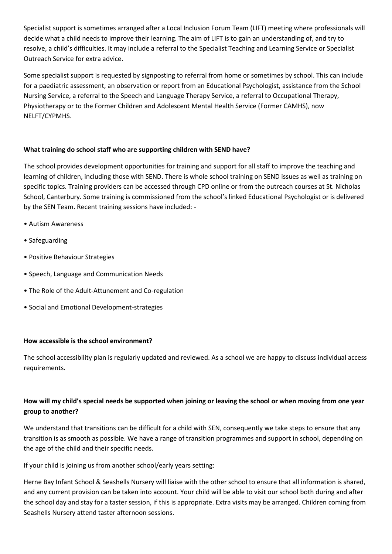Specialist support is sometimes arranged after a Local Inclusion Forum Team (LIFT) meeting where professionals will decide what a child needs to improve their learning. The aim of LIFT is to gain an understanding of, and try to resolve, a child's difficulties. It may include a referral to the Specialist Teaching and Learning Service or Specialist Outreach Service for extra advice.

Some specialist support is requested by signposting to referral from home or sometimes by school. This can include for a paediatric assessment, an observation or report from an Educational Psychologist, assistance from the School Nursing Service, a referral to the Speech and Language Therapy Service, a referral to Occupational Therapy, Physiotherapy or to the Former Children and Adolescent Mental Health Service (Former CAMHS), now NELFT/CYPMHS.

#### **What training do school staff who are supporting children with SEND have?**

The school provides development opportunities for training and support for all staff to improve the teaching and learning of children, including those with SEND. There is whole school training on SEND issues as well as training on specific topics. Training providers can be accessed through CPD online or from the outreach courses at St. Nicholas School, Canterbury. Some training is commissioned from the school's linked Educational Psychologist or is delivered by the SEN Team. Recent training sessions have included: -

- Autism Awareness
- Safeguarding
- Positive Behaviour Strategies
- Speech, Language and Communication Needs
- The Role of the Adult-Attunement and Co-regulation
- Social and Emotional Development-strategies

#### **How accessible is the school environment?**

The school accessibility plan is regularly updated and reviewed. As a school we are happy to discuss individual access requirements.

#### **How will my child's special needs be supported when joining or leaving the school or when moving from one year group to another?**

We understand that transitions can be difficult for a child with SEN, consequently we take steps to ensure that any transition is as smooth as possible. We have a range of transition programmes and support in school, depending on the age of the child and their specific needs.

If your child is joining us from another school/early years setting:

Herne Bay Infant School & Seashells Nursery will liaise with the other school to ensure that all information is shared, and any current provision can be taken into account. Your child will be able to visit our school both during and after the school day and stay for a taster session, if this is appropriate. Extra visits may be arranged. Children coming from Seashells Nursery attend taster afternoon sessions.